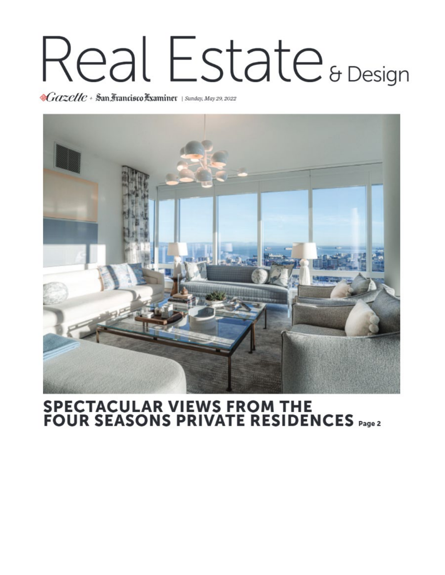## Real Estate<sup>& Design</sup>

Cazelle + San Francisco Examiner | Sunday, May 29, 2022



## **SPECTACULAR VIEWS FROM THE<br>FOUR SEASONS PRIVATE RESIDENCES**